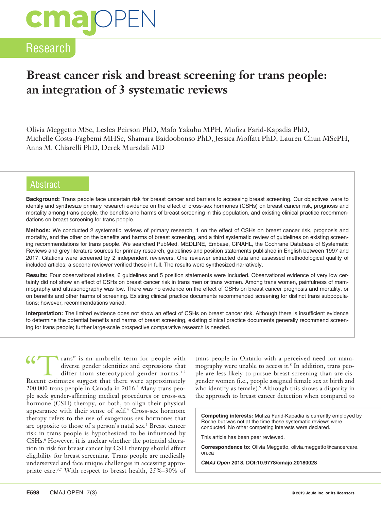### Research

### **Breast cancer risk and breast screening for trans people: an integration of 3 systematic reviews**

Olivia Meggetto MSc, Leslea Peirson PhD, Mafo Yakubu MPH, Mufiza Farid-Kapadia PhD, Michelle Costa-Fagbemi MHSc, Shamara Baidoobonso PhD, Jessica Moffatt PhD, Lauren Chun MScPH, Anna M. Chiarelli PhD, Derek Muradali MD

#### Abstract

**Background:** Trans people face uncertain risk for breast cancer and barriers to accessing breast screening. Our objectives were to identify and synthesize primary research evidence on the effect of cross-sex hormones (CSHs) on breast cancer risk, prognosis and mortality among trans people, the benefits and harms of breast screening in this population, and existing clinical practice recommendations on breast screening for trans people.

**Methods:** We conducted 2 systematic reviews of primary research, 1 on the effect of CSHs on breast cancer risk, prognosis and mortality, and the other on the benefits and harms of breast screening, and a third systematic review of guidelines on existing screening recommendations for trans people. We searched PubMed, MEDLINE, Embase, CINAHL, the Cochrane Database of Systematic Reviews and grey literature sources for primary research, guidelines and position statements published in English between 1997 and 2017. Citations were screened by 2 independent reviewers. One reviewer extracted data and assessed methodological quality of included articles; a second reviewer verified these in full. The results were synthesized narratively.

**Results:** Four observational studies, 6 guidelines and 5 position statements were included. Observational evidence of very low certainty did not show an effect of CSHs on breast cancer risk in trans men or trans women. Among trans women, painfulness of mammography and ultrasonography was low. There was no evidence on the effect of CSHs on breast cancer prognosis and mortality, or on benefits and other harms of screening. Existing clinical practice documents recommended screening for distinct trans subpopulations; however, recommendations varied.

**Interpretation:** The limited evidence does not show an effect of CSHs on breast cancer risk. Although there is insufficient evidence to determine the potential benefits and harms of breast screening, existing clinical practice documents generally recommend screening for trans people; further large-scale prospective comparative research is needed.

Trans" is an umbrella term for people with<br>diverse gender identities and expressions that<br>differ from stereotypical gender norms.<sup>1,2</sup><br>Recent estimates suggest that there were approximately diverse gender identities and expressions that differ from stereotypical gender norms.<sup>1,2</sup> Recent estimates suggest that there were approximately 200 000 trans people in Canada in 2016.3 Many trans people seek gender-affirming medical procedures or cross-sex hormone (CSH) therapy, or both, to align their physical appearance with their sense of self.<sup>4</sup> Cross-sex hormone therapy refers to the use of exogenous sex hormones that are opposite to those of a person's natal sex.<sup>5</sup> Breast cancer risk in trans people is hypothesized to be influenced by CSHs.6 However, it is unclear whether the potential alteration in risk for breast cancer by CSH therapy should affect eligibility for breast screening. Trans people are medically underserved and face unique challenges in accessing appropriate care.3,7 With respect to breast health, 25%–30% of

trans people in Ontario with a perceived need for mammography were unable to access it.8 In addition, trans people are less likely to pursue breast screening than are cisgender women (i.e., people assigned female sex at birth and who identify as female).<sup>9</sup> Although this shows a disparity in the approach to breast cancer detection when compared to

**Competing interests:** Mufiza Farid-Kapadia is currently employed by Roche but was not at the time these systematic reviews were conducted. No other competing interests were declared.

This article has been peer reviewed.

**Correspondence to:** Olivia Meggetto, olivia.meggetto@cancercare. on.ca

*CMAJ Open* **2018. DOI:10.9778/cmajo.20180028**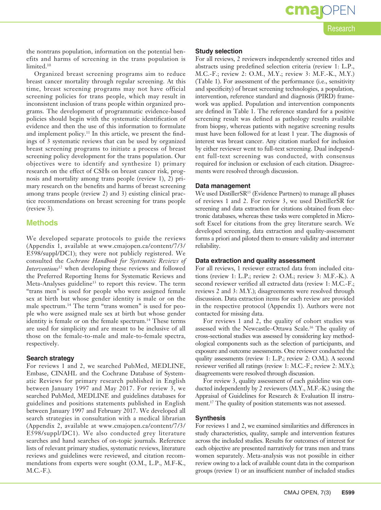Research

**OPEN** 

the nontrans population, information on the potential benefits and harms of screening in the trans population is limited.10

Organized breast screening programs aim to reduce breast cancer mortality through regular screening. At this time, breast screening programs may not have official screening policies for trans people, which may result in inconsistent inclusion of trans people within organized programs. The development of programmatic evidence-based policies should begin with the systematic identification of evidence and then the use of this information to formulate and implement policy.<sup>11</sup> In this article, we present the findings of 3 systematic reviews that can be used by organized breast screening programs to initiate a process of breast screening policy development for the trans population. Our objectives were to identify and synthesize 1) primary research on the effect of CSHs on breast cancer risk, prognosis and mortality among trans people (review 1), 2) primary research on the benefits and harms of breast screening among trans people (review 2) and 3) existing clinical practice recommendations on breast screening for trans people (review 3).

#### **Methods**

We developed separate protocols to guide the reviews (Appendix 1, available at www.cmajopen.ca/content/7/3/ E598/suppl/DC1); they were not publicly registered. We consulted the *Cochrane Handbook for Systematic Reviews of Interventions*12 when developing these reviews and followed the Preferred Reporting Items for Systematic Reviews and Meta-Analyses guideline<sup>13</sup> to report this review. The term "trans men" is used for people who were assigned female sex at birth but whose gender identity is male or on the male spectrum.14 The term "trans women" is used for people who were assigned male sex at birth but whose gender identity is female or on the female spectrum.<sup>14</sup> These terms are used for simplicity and are meant to be inclusive of all those on the female-to-male and male-to-female spectra, respectively.

#### **Search strategy**

For reviews 1 and 2, we searched PubMed, MEDLINE, Embase, CINAHL and the Cochrane Database of Systematic Reviews for primary research published in English between January 1997 and May 2017. For review 3, we searched PubMed, MEDLINE and guidelines databases for guidelines and positions statements published in English between January 1997 and February 2017. We developed all search strategies in consultation with a medical librarian (Appendix 2, available at www.cmajopen.ca/content/7/3/ E598/suppl/DC1). We also conducted grey literature searches and hand searches of on-topic journals. Reference lists of relevant primary studies, systematic reviews, literature reviews and guidelines were reviewed, and citation recommendations from experts were sought (O.M., L.P., M.F-K., M.C.-F.).

#### **Study selection**

For all reviews, 2 reviewers independently screened titles and abstracts using predefined selection criteria (review 1: L.P., M.C.-F.; review 2: O.M., M.Y.; review 3: M.F.-K., M.Y.) (Table 1). For assessment of the performance (i.e., sensitivity and specificity) of breast screening technologies, a population, intervention, reference standard and diagnosis (PIRD) framework was applied. Population and intervention components are defined in Table 1. The reference standard for a positive screening result was defined as pathology results available from biopsy, whereas patients with negative screening results must have been followed for at least 1 year. The diagnosis of interest was breast cancer. Any citation marked for inclusion by either reviewer went to full-text screening. Dual independent full-text screening was conducted, with consensus required for inclusion or exclusion of each citation. Disagreements were resolved through discussion.

#### **Data management**

We used DistillerSR<sup>15</sup> (Evidence Partners) to manage all phases of reviews 1 and 2. For review 3, we used DistillerSR for screening and data extraction for citations obtained from electronic databases, whereas these tasks were completed in Microsoft Excel for citations from the grey literature search. We developed screening, data extraction and quality-assessment forms a priori and piloted them to ensure validity and interrater reliability.

#### **Data extraction and quality assessment**

For all reviews, 1 reviewer extracted data from included citations (review 1: L.P.; review 2: O.M.; review 3: M.F.-K.). A second reviewer verified all extracted data (review 1: M.C.-F.; reviews 2 and 3: M.Y.); disagreements were resolved through discussion. Data extraction items for each review are provided in the respective protocol (Appendix 1). Authors were not contacted for missing data.

For reviews 1 and 2, the quality of cohort studies was assessed with the Newcastle–Ottawa Scale.16 The quality of cross-sectional studies was assessed by considering key methodological components such as the selection of participants, and exposure and outcome assessments. One reviewer conducted the quality assessments (review 1: L.P.; review 2: O.M.). A second reviewer verified all ratings (review 1: M.C.-F.; review 2: M.Y.); disagreements were resolved through discussion.

For review 3, quality assessment of each guideline was conducted independently by 2 reviewers (M.Y., M.F.-K.) using the Appraisal of Guidelines for Research & Evaluation II instrument.17 The quality of position statements was not assessed.

#### **Synthesis**

For reviews 1 and 2, we examined similarities and differences in study characteristics, quality, sample and intervention features across the included studies. Results for outcomes of interest for each objective are presented narratively for trans men and trans women separately. Meta-analysis was not possible in either review owing to a lack of available count data in the comparison groups (review 1) or an insufficient number of included studies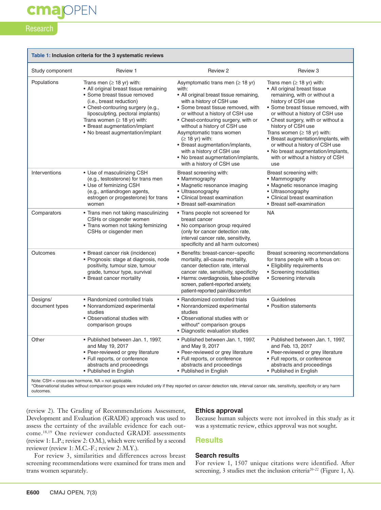### cmajOPEN

#### Research

| Table 1: Inclusion criteria for the 3 systematic reviews |                                                                                                                                                                                                                                                                                                                           |                                                                                                                                                                                                                                                                                                                                                                                                                                                                 |                                                                                                                                                                                                                                                                                                                                                                                                                                                             |  |  |  |  |
|----------------------------------------------------------|---------------------------------------------------------------------------------------------------------------------------------------------------------------------------------------------------------------------------------------------------------------------------------------------------------------------------|-----------------------------------------------------------------------------------------------------------------------------------------------------------------------------------------------------------------------------------------------------------------------------------------------------------------------------------------------------------------------------------------------------------------------------------------------------------------|-------------------------------------------------------------------------------------------------------------------------------------------------------------------------------------------------------------------------------------------------------------------------------------------------------------------------------------------------------------------------------------------------------------------------------------------------------------|--|--|--|--|
| Study component                                          | Review 1                                                                                                                                                                                                                                                                                                                  | Review 2                                                                                                                                                                                                                                                                                                                                                                                                                                                        | Review 3                                                                                                                                                                                                                                                                                                                                                                                                                                                    |  |  |  |  |
| Populations                                              | Trans men $( \geq 18$ yr) with:<br>• All original breast tissue remaining<br>• Some breast tissue removed<br>(i.e., breast reduction)<br>• Chest-contouring surgery (e.g.,<br>liposculpting, pectoral implants)<br>Trans women ( $\geq$ 18 yr) with:<br>• Breast augmentation/implant<br>• No breast augmentation/implant | Asymptomatic trans men ( $\geq$ 18 yr)<br>with:<br>• All original breast tissue remaining,<br>with a history of CSH use<br>• Some breast tissue removed, with<br>or without a history of CSH use<br>• Chest-contouring surgery, with or<br>without a history of CSH use<br>Asymptomatic trans women<br>$( \geq 18$ yr) with:<br>• Breast augmentation/implants,<br>with a history of CSH use<br>• No breast augmentation/implants,<br>with a history of CSH use | Trans men $( \geq 18$ yr) with:<br>• All original breast tissue<br>remaining, with or without a<br>history of CSH use<br>• Some breast tissue removed, with<br>or without a history of CSH use<br>• Chest surgery, with or without a<br>history of CSH use<br>Trans women ( $\geq$ 18 yr) with:<br>• Breast augmentation/implants, with<br>or without a history of CSH use<br>• No breast augmentation/implants,<br>with or without a history of CSH<br>use |  |  |  |  |
| Interventions                                            | • Use of masculinizing CSH<br>(e.g., testosterone) for trans men<br>• Use of feminizing CSH<br>(e.g., antiandrogen agents,<br>estrogen or progesterone) for trans<br>women                                                                                                                                                | Breast screening with:<br>• Mammography<br>• Magnetic resonance imaging<br>• Ultrasonography<br>• Clinical breast examination<br>• Breast self-examination                                                                                                                                                                                                                                                                                                      | Breast screening with:<br>• Mammography<br>• Magnetic resonance imaging<br>• Ultrasonography<br>• Clinical breast examination<br>• Breast self-examination                                                                                                                                                                                                                                                                                                  |  |  |  |  |
| Comparators                                              | • Trans men not taking masculinizing<br>CSHs or cisgender women<br>• Trans women not taking feminizing<br>CSHs or cisgender men                                                                                                                                                                                           | • Trans people not screened for<br>breast cancer<br>• No comparison group required<br>(only for cancer detection rate,<br>interval cancer rate, sensitivity,<br>specificity and all harm outcomes)                                                                                                                                                                                                                                                              | <b>NA</b>                                                                                                                                                                                                                                                                                                                                                                                                                                                   |  |  |  |  |
| Outcomes                                                 | • Breast cancer risk (incidence)<br>• Prognosis: stage at diagnosis, node<br>positivity, tumour size, tumour<br>grade, tumour type, survival<br>• Breast cancer mortality                                                                                                                                                 | • Benefits: breast-cancer-specific<br>mortality, all-cause mortality,<br>cancer detection rate, interval<br>cancer rate, sensitivity, specificity<br>· Harms: overdiagnosis, false-positive<br>screen, patient-reported anxiety,<br>patient-reported pain/discomfort                                                                                                                                                                                            | Breast screening recommendations<br>for trans people with a focus on:<br>• Eligibility requirements<br>• Screening modalities<br>• Screening intervals                                                                                                                                                                                                                                                                                                      |  |  |  |  |
| Designs/<br>document types                               | • Randomized controlled trials<br>• Nonrandomized experimental<br>studies<br>• Observational studies with<br>comparison groups                                                                                                                                                                                            | • Randomized controlled trials<br>• Nonrandomized experimental<br>studies<br>• Observational studies with or<br>without* comparison groups<br>• Diagnostic evaluation studies                                                                                                                                                                                                                                                                                   | • Guidelines<br>• Position statements                                                                                                                                                                                                                                                                                                                                                                                                                       |  |  |  |  |
| Other<br>$\sim$                                          | • Published between Jan. 1, 1997,<br>and May 19, 2017<br>• Peer-reviewed or grey literature<br>· Full reports, or conference<br>abstracts and proceedings<br>• Published in English                                                                                                                                       | • Published between Jan. 1, 1997,<br>and May 9, 2017<br>• Peer-reviewed or grey literature<br>• Full reports, or conference<br>abstracts and proceedings<br>• Published in English                                                                                                                                                                                                                                                                              | • Published between Jan. 1, 1997,<br>and Feb. 13, 2017<br>• Peer-reviewed or grey literature<br>• Full reports, or conference<br>abstracts and proceedings<br>• Published in English                                                                                                                                                                                                                                                                        |  |  |  |  |

Note:  $CSH = cross-sex$  hormone,  $NA = not$  applicable.

\*Observational studies without comparison groups were included only if they reported on cancer detection rate, interval cancer rate, sensitivity, specificity or any harm outcomes.

(review 2). The Grading of Recommendations Assessment, Development and Evaluation (GRADE) approach was used to assess the certainty of the available evidence for each outcome.18,19 One reviewer conducted GRADE assessments (review 1: L.P.; review 2: O.M.), which were verified by a second reviewer (review 1: M.C.-F.; review 2: M.Y.).

For review 3, similarities and differences across breast screening recommendations were examined for trans men and trans women separately.

#### **Ethics approval**

Because human subjects were not involved in this study as it was a systematic review, ethics approval was not sought.

#### **Results**

#### **Search results**

For review 1, 1507 unique citations were identified. After screening, 3 studies met the inclusion criteria<sup>20-22</sup> (Figure 1, A).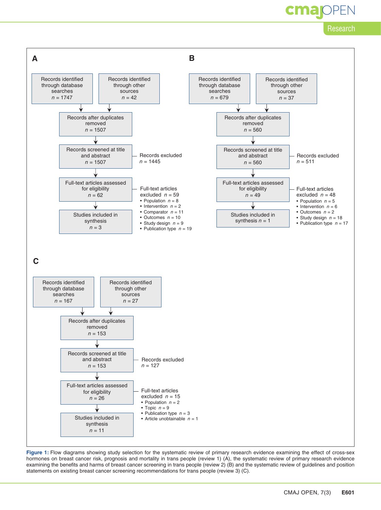### **OPEN**

#### Research



Figure 1: Flow diagrams showing study selection for the systematic review of primary research evidence examining the effect of cross-sex hormones on breast cancer risk, prognosis and mortality in trans people (review 1) (A), the systematic review of primary research evidence examining the benefits and harms of breast cancer screening in trans people (review 2) (B) and the systematic review of guidelines and position statements on existing breast cancer screening recommendations for trans people (review 3) (C).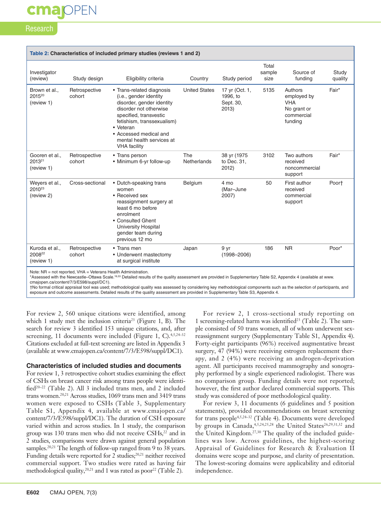#### Research

| Table 2: Characteristics of included primary studies (reviews 1 and 2) |                         |                                                                                                                                                                                                                                                               |                      |                                                  |                         |                                                                              |                  |
|------------------------------------------------------------------------|-------------------------|---------------------------------------------------------------------------------------------------------------------------------------------------------------------------------------------------------------------------------------------------------------|----------------------|--------------------------------------------------|-------------------------|------------------------------------------------------------------------------|------------------|
| Investigator<br>(review)                                               | Study design            | Eligibility criteria                                                                                                                                                                                                                                          | Country              | Study period                                     | Total<br>sample<br>size | Source of<br>funding                                                         | Study<br>quality |
| Brown et al.,<br>2015 <sup>20</sup><br>(review 1)                      | Retrospective<br>cohort | • Trans-related diagnosis<br>(i.e., gender identity<br>disorder, gender identity<br>disorder not otherwise<br>specified, transvestic<br>fetishism, transsexualism)<br>• Veteran<br>• Accessed medical and<br>mental health services at<br><b>VHA</b> facility | <b>United States</b> | 17 yr (Oct. 1,<br>1996, to<br>Sept. 30,<br>2013) | 5135                    | Authors<br>employed by<br><b>VHA</b><br>No grant or<br>commercial<br>funding | Fair*            |
| Gooren et al.,<br>2013 <sup>21</sup><br>(review 1)                     | Retrospective<br>cohort | • Trans person<br>• Minimum 6-yr follow-up                                                                                                                                                                                                                    | The<br>Netherlands   | 38 yr (1975<br>to Dec. 31,<br>2012)              | 3102                    | Two authors<br>received<br>noncommercial<br>support                          | Fair*            |
| Wevers et al.,<br>2010 <sup>23</sup><br>(review 2)                     | Cross-sectional         | • Dutch-speaking trans<br>women<br>• Received sex<br>reassignment surgery at<br>least 6 mo before<br>enrolment<br>• Consulted Ghent<br><b>University Hospital</b><br>gender team during<br>previous 12 mo                                                     | Belgium              | 4 mo<br>(Mar-June<br>2007)                       | 50                      | First author<br>received<br>commercial<br>support                            | Poort            |
| Kuroda et al.,<br>2008 <sup>22</sup><br>(review 1)                     | Retrospective<br>cohort | • Trans men<br>• Underwent mastectomy<br>at surgical institute                                                                                                                                                                                                | Japan                | 9 yr<br>$(1998 - 2006)$                          | 186                     | <b>NR</b>                                                                    | Poor*            |
| Note: $ND = not$ reperted $VHA = Voternen$ Health Administration       |                         |                                                                                                                                                                                                                                                               |                      |                                                  |                         |                                                                              |                  |

Note: NR = not reported, VHA = Veterans Health Administration.

\*Assessed with the Newcastle–Ottawa Scale.16,33 Detailed results of the quality assessment are provided in Supplementary Table S2, Appendix 4 (available at www. cmajopen.ca/content/7/3/E598/suppl/DC1).

†No formal critical appraisal tool was used; methodological quality was assessed by considering key methodological components such as the selection of participants, and exposure and outcome assessments. Detailed results of the quality assessment are provided in Supplementary Table S3, Appendix 4.

For review 2, 560 unique citations were identified, among which 1 study met the inclusion criteria<sup>23</sup> (Figure 1, B). The search for review 3 identified 153 unique citations, and, after screening, 11 documents were included (Figure 1, C).<sup>4,5,24-32</sup> Citations excluded at full-text screening are listed in Appendix 3 (available at www.cmajopen.ca/content/7/3/E598/suppl/DC1).

#### **Characteristics of included studies and documents**

For review 1, 3 retrospective cohort studies examining the effect of CSHs on breast cancer risk among trans people were identified<sup>20-22</sup> (Table 2). All 3 included trans men, and 2 included trans women.20,21 Across studies, 1069 trans men and 3419 trans women were exposed to CSHs (Table 3, Supplementary Table S1, Appendix 4, available at www.cmajopen.ca/ content/7/3/E598/suppl/DC1). The duration of CSH exposure varied within and across studies. In 1 study, the comparison group was 130 trans men who did not receive  $CSHs<sub>1</sub><sup>22</sup>$  and in 2 studies, comparisons were drawn against general population samples.<sup>20,21</sup> The length of follow-up ranged from 9 to 38 years. Funding details were reported for 2 studies; $^{20,21}$  neither received commercial support. Two studies were rated as having fair methodological quality,<sup>20,21</sup> and 1 was rated as poor<sup>22</sup> (Table 2).

For review 2, 1 cross-sectional study reporting on 1 screening-related harm was identified<sup>23</sup> (Table 2). The sample consisted of 50 trans women, all of whom underwent sexreassignment surgery (Supplementary Table S1, Appendix 4). Forty-eight participants (96%) received augmentative breast surgery, 47 (94%) were receiving estrogen replacement therapy, and 2 (4%) were receiving an androgen-deprivation agent. All participants received mammography and sonography performed by a single experienced radiologist. There was no comparison group. Funding details were not reported; however, the first author declared commercial supports. This study was considered of poor methodological quality.

For review 3, 11 documents (6 guidelines and 5 position statements), provided recommendations on breast screening for trans people4,5,24–32 (Table 4). Documents were developed by groups in Canada,  $4,5,24,25,28$  the United States<sup>26,29,31,32</sup> and the United Kingdom.27,30 The quality of the included guidelines was low. Across guidelines, the highest-scoring Appraisal of Guidelines for Research & Evaluation II domains were scope and purpose, and clarity of presentation. The lowest-scoring domains were applicability and editorial independence.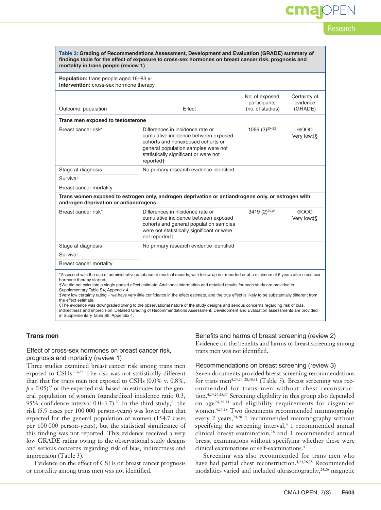# **OPEN**

Research

| Table 3: Grading of Recommendations Assessment, Development and Evaluation (GRADE) summary of<br>findings table for the effect of exposure to cross-sex hormones on breast cancer risk, prognosis and<br>mortality in trans people (review 1)                                                                                                                                                                                                                                                                                                                                                                                                                                                                                                                                                                 |                                                                                                                                                                                                            |                                                    |                                     |  |  |  |  |
|---------------------------------------------------------------------------------------------------------------------------------------------------------------------------------------------------------------------------------------------------------------------------------------------------------------------------------------------------------------------------------------------------------------------------------------------------------------------------------------------------------------------------------------------------------------------------------------------------------------------------------------------------------------------------------------------------------------------------------------------------------------------------------------------------------------|------------------------------------------------------------------------------------------------------------------------------------------------------------------------------------------------------------|----------------------------------------------------|-------------------------------------|--|--|--|--|
| Population: trans people aged 16-83 yr<br>Intervention: cross-sex hormone therapy                                                                                                                                                                                                                                                                                                                                                                                                                                                                                                                                                                                                                                                                                                                             |                                                                                                                                                                                                            |                                                    |                                     |  |  |  |  |
| Outcome; population                                                                                                                                                                                                                                                                                                                                                                                                                                                                                                                                                                                                                                                                                                                                                                                           | Effect                                                                                                                                                                                                     | No. of exposed<br>participants<br>(no. of studies) | Certainty of<br>evidence<br>(GRADE) |  |  |  |  |
| Trans men exposed to testosterone                                                                                                                                                                                                                                                                                                                                                                                                                                                                                                                                                                                                                                                                                                                                                                             |                                                                                                                                                                                                            |                                                    |                                     |  |  |  |  |
| Breast cancer risk*                                                                                                                                                                                                                                                                                                                                                                                                                                                                                                                                                                                                                                                                                                                                                                                           | Differences in incidence rate or<br>cumulative incidence between exposed<br>cohorts and nonexposed cohorts or<br>general population samples were not<br>statistically significant or were not<br>reported† | 1069 $(3)^{20-22}$                                 | 0000<br>Very low‡§                  |  |  |  |  |
| Stage at diagnosis                                                                                                                                                                                                                                                                                                                                                                                                                                                                                                                                                                                                                                                                                                                                                                                            | No primary research evidence identified                                                                                                                                                                    |                                                    |                                     |  |  |  |  |
| Survival                                                                                                                                                                                                                                                                                                                                                                                                                                                                                                                                                                                                                                                                                                                                                                                                      |                                                                                                                                                                                                            |                                                    |                                     |  |  |  |  |
| Breast cancer mortality                                                                                                                                                                                                                                                                                                                                                                                                                                                                                                                                                                                                                                                                                                                                                                                       |                                                                                                                                                                                                            |                                                    |                                     |  |  |  |  |
| androgen deprivation or antiandrogens                                                                                                                                                                                                                                                                                                                                                                                                                                                                                                                                                                                                                                                                                                                                                                         | Trans women exposed to estrogen only, androgen deprivation or antiandrogens only, or estrogen with                                                                                                         |                                                    |                                     |  |  |  |  |
| Breast cancer risk*                                                                                                                                                                                                                                                                                                                                                                                                                                                                                                                                                                                                                                                                                                                                                                                           | Differences in incidence rate or<br>cumulative incidence between exposed<br>cohorts and general population samples<br>were not statistically significant or were<br>not reported†                          | 3419 (2) <sup>20,21</sup>                          | $\Theta$ OOO<br>Very low‡§          |  |  |  |  |
| Stage at diagnosis                                                                                                                                                                                                                                                                                                                                                                                                                                                                                                                                                                                                                                                                                                                                                                                            | No primary research evidence identified                                                                                                                                                                    |                                                    |                                     |  |  |  |  |
| Survival                                                                                                                                                                                                                                                                                                                                                                                                                                                                                                                                                                                                                                                                                                                                                                                                      |                                                                                                                                                                                                            |                                                    |                                     |  |  |  |  |
| Breast cancer mortality                                                                                                                                                                                                                                                                                                                                                                                                                                                                                                                                                                                                                                                                                                                                                                                       |                                                                                                                                                                                                            |                                                    |                                     |  |  |  |  |
| *Assessed with the use of administrative database or medical records, with follow-up not reported or at a minimum of 6 years after cross-sex<br>hormone therapy started.<br>†We did not calculate a single pooled effect estimate. Additional information and detailed results for each study are provided in<br>Supplementary Table S4, Appendix 4.<br>‡Very low certainty rating = we have very little confidence in the effect estimate, and the true effect is likely to be substantially different from<br>the effect estimate.<br>§The evidence was downgraded owing to the observational nature of the study designs and serious concerns regarding risk of bias,<br>indirectness and imprecision. Detailed Grading of Recommendations Assessment, Development and Evaluation assessments are provided |                                                                                                                                                                                                            |                                                    |                                     |  |  |  |  |

#### **Trans men**

#### Effect of cross-sex hormones on breast cancer risk, prognosis and mortality (review 1)

in Supplementary Table S5, Appendix 4.

Three studies examined breast cancer risk among trans men exposed to CSHs.<sup>20-22</sup> The risk was not statistically different than that for trans men not exposed to CSHs (0.0% v. 0.8%,  $p < 0.05$ <sup>22</sup> or the expected risk based on estimates for the general population of women (standardized incidence ratio 0.3, 95% confidence interval  $0.0-3.7$ ).<sup>20</sup> In the third study,<sup>21</sup> the risk (5.9 cases per 100 000 person-years) was lower than that expected for the general population of women (154.7 cases per 100 000 person-years), but the statistical significance of this finding was not reported. This evidence received a very low GRADE rating owing to the observational study designs and serious concerns regarding risk of bias, indirectness and imprecision (Table 3).

Evidence on the effect of CSHs on breast cancer prognosis or mortality among trans men was not identified.

#### Benefits and harms of breast screening (review 2)

Evidence on the benefits and harms of breast screening among trans men was not identified.

#### Recommendations on breast screening (review 3)

Seven documents provided breast screening recommendations for trans men<sup>4,24,26–28,30,31</sup> (Table 5). Breast screening was recommended for trans men without chest reconstruction.4,24,26,28,31 Screening eligibility in this group also depended on age24,28,31 and eligibility requirements for cisgender women.4,26,28 Two documents recommended mammography every 2 years,<sup>24,28</sup> 1 recommended mammography without specifying the screening interval, $4$  1 recommended annual clinical breast examination,<sup>28</sup> and 1 recommended annual breast examinations without specifying whether these were clinical examinations or self-examinations.4

Screening was also recommended for trans men who have had partial chest reconstruction.<sup>4,24,26,28</sup> Recommended modalities varied and included ultrasonography,<sup>24,26</sup> magnetic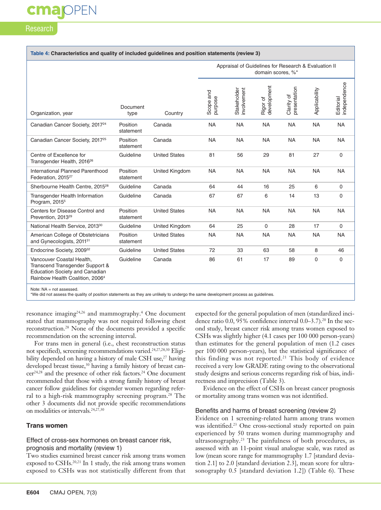#### Research

#### **Table 4: Characteristics and quality of included guidelines and position statements (review 3)**

|                                                                                                                                                      |                       |                      |                      | Appraisal of Guidelines for Research & Evaluation II | domain scores, %*       |                            |               |                           |
|------------------------------------------------------------------------------------------------------------------------------------------------------|-----------------------|----------------------|----------------------|------------------------------------------------------|-------------------------|----------------------------|---------------|---------------------------|
| Organization, year                                                                                                                                   | Document<br>type      | Country              | Scope and<br>purpose | Stakeholder<br>involvement                           | development<br>Rigor of | Clarity of<br>presentation | Applicability | Editorial<br>independence |
| Canadian Cancer Society, 2017 <sup>24</sup>                                                                                                          | Position<br>statement | Canada               | <b>NA</b>            | <b>NA</b>                                            | <b>NA</b>               | <b>NA</b>                  | <b>NA</b>     | <b>NA</b>                 |
| Canadian Cancer Society, 2017 <sup>25</sup>                                                                                                          | Position<br>statement | Canada               | <b>NA</b>            | <b>NA</b>                                            | <b>NA</b>               | <b>NA</b>                  | <b>NA</b>     | <b>NA</b>                 |
| Centre of Excellence for<br>Transgender Health, 2016 <sup>26</sup>                                                                                   | Guideline             | <b>United States</b> | 81                   | 56                                                   | 29                      | 81                         | 27            | $\mathbf 0$               |
| International Planned Parenthood<br>Federation, 2015 <sup>27</sup>                                                                                   | Position<br>statement | United Kingdom       | <b>NA</b>            | <b>NA</b>                                            | <b>NA</b>               | <b>NA</b>                  | <b>NA</b>     | <b>NA</b>                 |
| Sherbourne Health Centre, 2015 <sup>28</sup>                                                                                                         | Guideline             | Canada               | 64                   | 44                                                   | 16                      | 25                         | 6             | $\mathbf 0$               |
| Transgender Health Information<br>Program, 2015 <sup>5</sup>                                                                                         | Guideline             | Canada               | 67                   | 67                                                   | 6                       | 14                         | 13            | $\mathbf 0$               |
| Centers for Disease Control and<br>Prevention, 2013 <sup>29</sup>                                                                                    | Position<br>statement | <b>United States</b> | <b>NA</b>            | <b>NA</b>                                            | <b>NA</b>               | <b>NA</b>                  | <b>NA</b>     | <b>NA</b>                 |
| National Health Service, 2013 <sup>30</sup>                                                                                                          | Guideline             | United Kingdom       | 64                   | 25                                                   | $\mathbf 0$             | 28                         | 17            | $\mathbf 0$               |
| American College of Obstetricians<br>and Gynecologists, 2011 <sup>31</sup>                                                                           | Position<br>statement | <b>United States</b> | <b>NA</b>            | <b>NA</b>                                            | <b>NA</b>               | <b>NA</b>                  | <b>NA</b>     | <b>NA</b>                 |
| Endocrine Society, 2009 <sup>32</sup>                                                                                                                | Guideline             | <b>United States</b> | 72                   | 33                                                   | 63                      | 58                         | 8             | 46                        |
| Vancouver Coastal Health,<br>Transcend Transgender Support &<br><b>Education Society and Canadian</b><br>Rainbow Health Coalition, 2006 <sup>4</sup> | Guideline             | Canada               | 86                   | 61                                                   | 17                      | 89                         | 0             | $\mathbf 0$               |

Note:  $NA = not$  assessed.

\*We did not assess the quality of position statements as they are unlikely to undergo the same development process as guidelines.

resonance imaging<sup>24,26</sup> and mammography.<sup>4</sup> One document stated that mammography was not required following chest reconstruction.28 None of the documents provided a specific recommendation on the screening interval.

For trans men in general (i.e., chest reconstruction status not specified), screening recommendations varied.24,27,28,30 Eligibility depended on having a history of male CSH use,<sup>27</sup> having developed breast tissue,<sup>30</sup> having a family history of breast cancer24,28 and the presence of other risk factors.24 One document recommended that those with a strong family history of breast cancer follow guidelines for cisgender women regarding referral to a high-risk mammography screening program.<sup>28</sup> The other 3 documents did not provide specific recommendations on modalities or intervals.24,27,30

#### **Trans women**

#### Effect of cross-sex hormones on breast cancer risk, prognosis and mortality (review 1)

Two studies examined breast cancer risk among trans women exposed to CSHs.<sup>20,21</sup> In 1 study, the risk among trans women exposed to CSHs was not statistically different from that expected for the general population of men (standardized incidence ratio 0.0, 95% confidence interval 0.0–3.7).<sup>20</sup> In the second study, breast cancer risk among trans women exposed to CSHs was slightly higher (4.1 cases per 100 000 person-years) than estimates for the general population of men (1.2 cases per 100 000 person-years), but the statistical significance of this finding was not reported.<sup>21</sup> This body of evidence received a very low GRADE rating owing to the observational study designs and serious concerns regarding risk of bias, indirectness and imprecision (Table 3).

Evidence on the effect of CSHs on breast cancer prognosis or mortality among trans women was not identified.

#### Benefits and harms of breast screening (review 2)

Evidence on 1 screening-related harm among trans women was identified.<sup>23</sup> One cross-sectional study reported on pain experienced by 50 trans women during mammography and ultrasonography.23 The painfulness of both procedures, as assessed with an 11-point visual analogue scale, was rated as low (mean score range for mammography 1.7 [standard deviation 2.1] to 2.0 [standard deviation 2.3], mean score for ultrasonography 0.5 [standard deviation 1.2]) (Table 6). These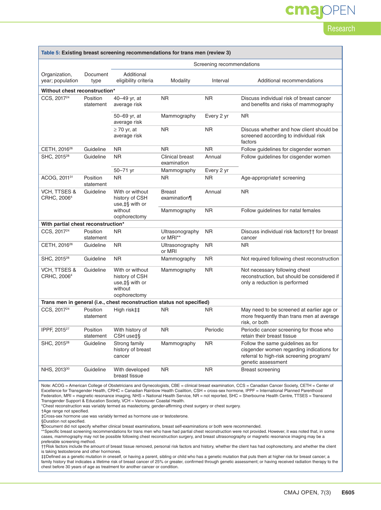### cmapPEN

#### Research

| Table 5: Existing breast screening recommendations for trans men (review 3)                                                                          |                       |                                                                                 |                                |            |                                                                                                                                                  |  |  |
|------------------------------------------------------------------------------------------------------------------------------------------------------|-----------------------|---------------------------------------------------------------------------------|--------------------------------|------------|--------------------------------------------------------------------------------------------------------------------------------------------------|--|--|
|                                                                                                                                                      |                       | Screening recommendations                                                       |                                |            |                                                                                                                                                  |  |  |
| Organization,<br>year; population                                                                                                                    | Document<br>type      | Additional<br>eligibility criteria                                              | Modality                       | Interval   | Additional recommendations                                                                                                                       |  |  |
| Without chest reconstruction*                                                                                                                        |                       |                                                                                 |                                |            |                                                                                                                                                  |  |  |
| CCS, 2017 <sup>24</sup>                                                                                                                              | Position<br>statement | 40-49 yr, at<br>average risk                                                    | <b>NR</b>                      | <b>NR</b>  | Discuss individual risk of breast cancer<br>and benefits and risks of mammography                                                                |  |  |
|                                                                                                                                                      |                       | 50–69 yr, at<br>average risk                                                    | Mammography                    | Every 2 yr | <b>NR</b>                                                                                                                                        |  |  |
|                                                                                                                                                      |                       | $\geq$ 70 yr, at<br>average risk                                                | <b>NR</b>                      | <b>NR</b>  | Discuss whether and how client should be<br>screened according to individual risk<br>factors                                                     |  |  |
| CETH, 2016 <sup>26</sup>                                                                                                                             | Guideline             | <b>NR</b>                                                                       | <b>NR</b>                      | <b>NR</b>  | Follow guidelines for cisgender women                                                                                                            |  |  |
| SHC, 2015 <sup>28</sup>                                                                                                                              | Guideline             | <b>NR</b>                                                                       | Clinical breast<br>examination | Annual     | Follow guidelines for cisgender women                                                                                                            |  |  |
|                                                                                                                                                      |                       | 50-71 yr                                                                        | Mammography                    | Every 2 yr |                                                                                                                                                  |  |  |
| ACOG, 2011 <sup>31</sup>                                                                                                                             | Position<br>statement | <b>NR</b>                                                                       | <b>NR</b>                      | <b>NR</b>  | Age-appropriate† screening                                                                                                                       |  |  |
| <b>VCH, TTSES &amp;</b><br>CRHC, 2006 <sup>4</sup>                                                                                                   | Guideline             | With or without<br>history of CSH<br>use, ‡§ with or                            | <b>Breast</b><br>examination¶  | Annual     | <b>NR</b>                                                                                                                                        |  |  |
|                                                                                                                                                      |                       | without<br>oophorectomy                                                         | Mammography                    | <b>NR</b>  | Follow guidelines for natal females                                                                                                              |  |  |
| With partial chest reconstruction*                                                                                                                   |                       |                                                                                 |                                |            |                                                                                                                                                  |  |  |
| CCS, 2017 <sup>24</sup>                                                                                                                              | Position<br>statement | NR.                                                                             | Ultrasonography<br>or MRI**    | <b>NR</b>  | Discuss individual risk factors†† for breast<br>cancer                                                                                           |  |  |
| CETH, 2016 <sup>26</sup>                                                                                                                             | Guideline             | NR.                                                                             | Ultrasonography<br>or MRI      | <b>NR</b>  | <b>NR</b>                                                                                                                                        |  |  |
| SHC, 2015 <sup>28</sup>                                                                                                                              | Guideline             | NR.                                                                             | Mammography                    | NR.        | Not required following chest reconstruction                                                                                                      |  |  |
| VCH, TTSES &<br>CRHC, 2006 <sup>4</sup>                                                                                                              | Guideline             | With or without<br>history of CSH<br>use, ‡§ with or<br>without<br>oophorectomy | Mammography                    | <b>NR</b>  | Not necessary following chest<br>reconstruction, but should be considered if<br>only a reduction is performed                                    |  |  |
|                                                                                                                                                      |                       | Trans men in general (i.e., chest reconstruction status not specified)          |                                |            |                                                                                                                                                  |  |  |
| CCS, 2017 <sup>24</sup>                                                                                                                              | Position<br>statement | High risk‡‡                                                                     | <b>NR</b>                      | <b>NR</b>  | May need to be screened at earlier age or<br>more frequently than trans men at average<br>risk, or both                                          |  |  |
| IPPF, 2015 <sup>27</sup>                                                                                                                             | Position<br>statement | With history of<br>CSH use‡§                                                    | <b>NR</b>                      | Periodic   | Periodic cancer screening for those who<br>retain their breast tissue                                                                            |  |  |
| SHC, 2015 <sup>28</sup>                                                                                                                              | Guideline             | Strong family<br>history of breast<br>cancer                                    | Mammography                    | <b>NR</b>  | Follow the same guidelines as for<br>cisgender women regarding indications for<br>referral to high-risk screening program/<br>genetic assessment |  |  |
| NHS, 2013 <sup>30</sup>                                                                                                                              | Guideline             | With developed<br>breast tissue                                                 | <b>NR</b>                      | <b>NR</b>  | <b>Breast screening</b>                                                                                                                          |  |  |
| Note: ACOG = American College of Obstetricians and Gynecologists, CBE = clinical breast examination, CCS = Canadian Cancer Society, CETH = Center of |                       |                                                                                 |                                |            |                                                                                                                                                  |  |  |

Note: ACOG = American College of Obstetricians and Gynecologists, CBE = clinical breast examination, CCS = Canadian Cancer Society, CETH = Center of<br>Excellence for Transgender Health, CRHC = Canadian Rainbow Health Coaliti Federation, MRI = magnetic resonance imaging, NHS = National Health Service, NR = not reported, SHC = Sherbourne Health Centre, TTSES = Transcend Transgender Support & Education Society, VCH = Vancouver Coastal Health.

\*Chest reconstruction was variably termed as mastectomy, gender-affirming chest surgery or chest surgery.

†Age range not specified.

‡Cross-sex hormone use was variably termed as hormone use or testosterone.

§Duration not specified.

¶Document did not specify whether clinical breast examinations, breast self-examinations or both were recommended.<br>\*\*Specific breast screening recommendations for trans men who have had partial chest reconstruction were no cases, mammography may not be possible following chest reconstruction surgery, and breast ultrasonography or magnetic resonance imaging may be a preferable screening method.

††Risk factors include the amount of breast tissue removed, personal risk factors and history, whether the client has had oophorectomy, and whether the client is taking testosterone and other hormones.

‡‡Defined as a genetic mutation in oneself, or having a parent, sibling or child who has a genetic mutation that puts them at higher risk for breast cancer; a family history that indicates a lifetime risk of breast cancer of 25% or greater, confirmed through genetic assessment; or having received radiation therapy to the chest before 30 years of age as treatment for another cancer or condition.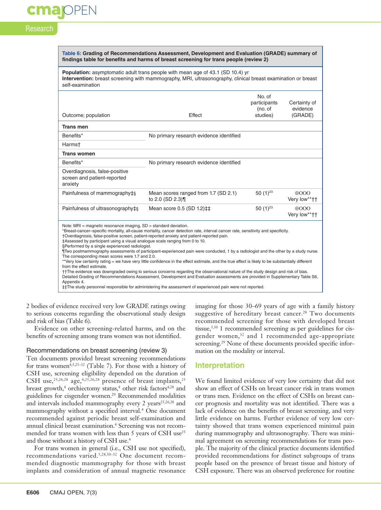# **OPEN**

#### Research

| Table 6: Grading of Recommendations Assessment, Development and Evaluation (GRADE) summary of |  |
|-----------------------------------------------------------------------------------------------|--|
| findings table for benefits and harms of breast screening for trans people (review 2)         |  |

**Population:** asymptomatic adult trans people with mean age of 43.1 (SD 10.4) yr **Intervention:** breast screening with mammography, MRI, ultrasonography, clinical breast examination or breast self-examination

|                                                                                                                                                                                                                                                                                                                                                                                                                                                                                                                                                                                                                                                                                                                                                                                                                                                                                                                                                                                                                                                                                                                                                                                                                        |                                                         | No. of<br>participants<br>(no. of | Certainty of<br>evidence     |  |  |
|------------------------------------------------------------------------------------------------------------------------------------------------------------------------------------------------------------------------------------------------------------------------------------------------------------------------------------------------------------------------------------------------------------------------------------------------------------------------------------------------------------------------------------------------------------------------------------------------------------------------------------------------------------------------------------------------------------------------------------------------------------------------------------------------------------------------------------------------------------------------------------------------------------------------------------------------------------------------------------------------------------------------------------------------------------------------------------------------------------------------------------------------------------------------------------------------------------------------|---------------------------------------------------------|-----------------------------------|------------------------------|--|--|
| Outcome; population                                                                                                                                                                                                                                                                                                                                                                                                                                                                                                                                                                                                                                                                                                                                                                                                                                                                                                                                                                                                                                                                                                                                                                                                    | Effect                                                  | studies)                          | (GRADE)                      |  |  |
| <b>Trans men</b>                                                                                                                                                                                                                                                                                                                                                                                                                                                                                                                                                                                                                                                                                                                                                                                                                                                                                                                                                                                                                                                                                                                                                                                                       |                                                         |                                   |                              |  |  |
| Benefits*                                                                                                                                                                                                                                                                                                                                                                                                                                                                                                                                                                                                                                                                                                                                                                                                                                                                                                                                                                                                                                                                                                                                                                                                              | No primary research evidence identified                 |                                   |                              |  |  |
| Harmst                                                                                                                                                                                                                                                                                                                                                                                                                                                                                                                                                                                                                                                                                                                                                                                                                                                                                                                                                                                                                                                                                                                                                                                                                 |                                                         |                                   |                              |  |  |
| <b>Trans women</b>                                                                                                                                                                                                                                                                                                                                                                                                                                                                                                                                                                                                                                                                                                                                                                                                                                                                                                                                                                                                                                                                                                                                                                                                     |                                                         |                                   |                              |  |  |
| Benefits*                                                                                                                                                                                                                                                                                                                                                                                                                                                                                                                                                                                                                                                                                                                                                                                                                                                                                                                                                                                                                                                                                                                                                                                                              | No primary research evidence identified                 |                                   |                              |  |  |
| Overdiagnosis, false-positive<br>screen and patient-reported<br>anxiety                                                                                                                                                                                                                                                                                                                                                                                                                                                                                                                                                                                                                                                                                                                                                                                                                                                                                                                                                                                                                                                                                                                                                |                                                         |                                   |                              |  |  |
| Painfulness of mammography‡§                                                                                                                                                                                                                                                                                                                                                                                                                                                                                                                                                                                                                                                                                                                                                                                                                                                                                                                                                                                                                                                                                                                                                                                           | Mean scores ranged from 1.7 (SD 2.1)<br>to 2.0 (SD 2.3) | 50 $(1)^{23}$                     | $\oplus$ OOO<br>Very low**†† |  |  |
| Painfulness of ultrasonography‡§                                                                                                                                                                                                                                                                                                                                                                                                                                                                                                                                                                                                                                                                                                                                                                                                                                                                                                                                                                                                                                                                                                                                                                                       | Mean score 0.5 (SD 1.2) ‡‡                              | 50 $(1)^{23}$                     | $\oplus$ OOO<br>Very low**†† |  |  |
| Note: $MRI$ = magnetic resonance imaging, $SD$ = standard deviation.<br>*Breast-cancer-specific mortality, all-cause mortality, cancer detection rate, interval cancer rate, sensitivity and specificity.<br>†Overdiagnosis, false-positive screen, patient-reported anxiety and patient-reported pain.<br>‡Assessed by participant using a visual analogue scale ranging from 0 to 10.<br>§Performed by a single experienced radiologist.<br>Two postmammography assessments of participant-experienced pain were conducted, 1 by a radiologist and the other by a study nurse.<br>The corresponding mean scores were 1.7 and 2.0.<br>**Very low certainty rating = we have very little confidence in the effect estimate, and the true effect is likely to be substantially different<br>from the effect estimate.<br>††The evidence was downgraded owing to serious concerns regarding the observational nature of the study design and risk of bias.<br>Detailed Grading of Recommendations Assessment, Development and Evaluation assessments are provided in Supplementary Table S6,<br>Appendix 4.<br>‡‡The study personnel responsible for administering the assessment of experienced pain were not reported. |                                                         |                                   |                              |  |  |

2 bodies of evidence received very low GRADE ratings owing to serious concerns regarding the observational study design and risk of bias (Table 6).

Evidence on other screening-related harms, and on the benefits of screening among trans women was not identified.

#### Recommendations on breast screening (review 3)

Ten documents provided breast screening recommendations for trans women<sup>4,5,25-32</sup> (Table 7). For those with a history of CSH use, screening eligibility depended on the duration of CSH use,<sup>25,26,28</sup> age,<sup>4,25,26,28</sup> presence of breast implants,<sup>25</sup> breast growth,<sup>4</sup> orchiectomy status,<sup>4</sup> other risk factors<sup>4,28</sup> and guidelines for cisgender women.29 Recommended modalities and intervals included mammography every 2 years<sup>25,26,28</sup> and mammography without a specified interval.<sup>4</sup> One document recommended against periodic breast self-examination and annual clinical breast examination.<sup>4</sup> Screening was not recommended for trans women with less than 5 years of CSH use<sup>25</sup> and those without a history of CSH use.4

For trans women in general (i.e., CSH use not specified), recommendations varied.<sup>5,28,30-32</sup> One document recommended diagnostic mammography for those with breast implants and consideration of annual magnetic resonance

imaging for those 30–69 years of age with a family history suggestive of hereditary breast cancer.<sup>28</sup> Two documents recommended screening for those with developed breast tissue,<sup>5,30</sup> 1 recommended screening as per guidelines for cisgender women,<sup>32</sup> and 1 recommended age-appropriate screening.<sup>29</sup> None of these documents provided specific information on the modality or interval.

#### **Interpretation**

We found limited evidence of very low certainty that did not show an effect of CSHs on breast cancer risk in trans women or trans men. Evidence on the effect of CSHs on breast cancer prognosis and mortality was not identified. There was a lack of evidence on the benefits of breast screening, and very little evidence on harms. Further evidence of very low certainty showed that trans women experienced minimal pain during mammography and ultrasonography. There was minimal agreement on screening recommendations for trans people. The majority of the clinical practice documents identified provided recommendations for distinct subgroups of trans people based on the presence of breast tissue and history of CSH exposure. There was an observed preference for routine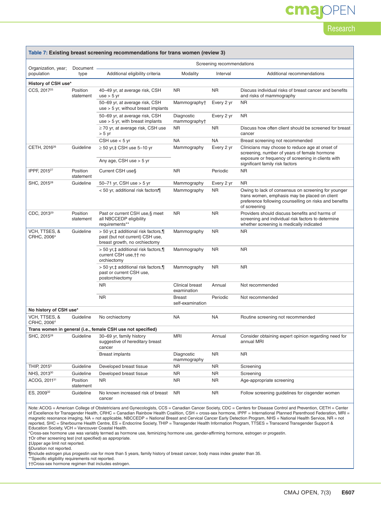# cmajOPEN

Research

| Table 7: Existing breast screening recommendations for trans women (review 3)                                                                                                                                                                                                                                                                                                                                                                                                                       |                       |                                                                                                         |                                   |            |                                                                                                                                                                                |  |  |  |  |
|-----------------------------------------------------------------------------------------------------------------------------------------------------------------------------------------------------------------------------------------------------------------------------------------------------------------------------------------------------------------------------------------------------------------------------------------------------------------------------------------------------|-----------------------|---------------------------------------------------------------------------------------------------------|-----------------------------------|------------|--------------------------------------------------------------------------------------------------------------------------------------------------------------------------------|--|--|--|--|
| Screening recommendations                                                                                                                                                                                                                                                                                                                                                                                                                                                                           |                       |                                                                                                         |                                   |            |                                                                                                                                                                                |  |  |  |  |
| Organization, year;<br>population                                                                                                                                                                                                                                                                                                                                                                                                                                                                   | Document<br>type      | Additional eligibility criteria                                                                         | Modality                          | Interval   | Additional recommendations                                                                                                                                                     |  |  |  |  |
| History of CSH use*                                                                                                                                                                                                                                                                                                                                                                                                                                                                                 |                       |                                                                                                         |                                   |            |                                                                                                                                                                                |  |  |  |  |
| CCS, 2017 <sup>25</sup>                                                                                                                                                                                                                                                                                                                                                                                                                                                                             | Position<br>statement | 40-49 yr, at average risk, CSH<br>$use > 5$ yr                                                          | <b>NR</b>                         | <b>NR</b>  | Discuss individual risks of breast cancer and benefits<br>and risks of mammography                                                                                             |  |  |  |  |
|                                                                                                                                                                                                                                                                                                                                                                                                                                                                                                     |                       | 50-69 yr, at average risk, CSH<br>$use > 5$ yr, without breast implants                                 | Mammographyt                      | Every 2 yr | <b>NR</b>                                                                                                                                                                      |  |  |  |  |
|                                                                                                                                                                                                                                                                                                                                                                                                                                                                                                     |                       | 50-69 yr, at average risk, CSH<br>$use > 5$ yr, with breast implants                                    | Diagnostic<br>mammographyt        | Every 2 yr | <b>NR</b>                                                                                                                                                                      |  |  |  |  |
|                                                                                                                                                                                                                                                                                                                                                                                                                                                                                                     |                       | $\geq$ 70 yr, at average risk, CSH use<br>> 5 yr                                                        | ΝR                                | ΝR         | Discuss how often client should be screened for breast<br>cancer                                                                                                               |  |  |  |  |
|                                                                                                                                                                                                                                                                                                                                                                                                                                                                                                     |                       | CSH use $<$ 5 yr                                                                                        | <b>NA</b>                         | <b>NA</b>  | Breast screening not recommended                                                                                                                                               |  |  |  |  |
| CETH, 2016 <sup>26</sup>                                                                                                                                                                                                                                                                                                                                                                                                                                                                            | Guideline             | $\geq$ 50 yr,‡ CSH use 5-10 yr                                                                          | Mammography                       | Every 2 yr | Clinicians may choose to reduce age at onset of<br>screening, number of years of female hormone                                                                                |  |  |  |  |
|                                                                                                                                                                                                                                                                                                                                                                                                                                                                                                     |                       | Any age, CSH use $>$ 5 yr                                                                               |                                   |            | exposure or frequency of screening in clients with<br>significant family risk factors                                                                                          |  |  |  |  |
| IPPF, 2015 <sup>27</sup>                                                                                                                                                                                                                                                                                                                                                                                                                                                                            | Position<br>statement | Current CSH use§                                                                                        | <b>NR</b>                         | Periodic   | <b>NR</b>                                                                                                                                                                      |  |  |  |  |
| SHC, 2015 <sup>28</sup>                                                                                                                                                                                                                                                                                                                                                                                                                                                                             | Guideline             | 50-71 yr, CSH use > 5 yr                                                                                | Mammography                       | Every 2 yr | <b>NR</b>                                                                                                                                                                      |  |  |  |  |
|                                                                                                                                                                                                                                                                                                                                                                                                                                                                                                     |                       | < 50 yr, additional risk factors¶                                                                       | Mammography                       | <b>NR</b>  | Owing to lack of consensus on screening for younger<br>trans women, emphasis may be placed on client<br>preference following counselling on risks and benefits<br>of screening |  |  |  |  |
| CDC, 2013 <sup>29</sup>                                                                                                                                                                                                                                                                                                                                                                                                                                                                             | Position<br>statement | Past or current CSH use, § meet<br>all NBCCEDP eligibility<br>requirements**                            | <b>NR</b>                         | <b>NR</b>  | Providers should discuss benefits and harms of<br>screening and individual risk factors to determine<br>whether screening is medically indicated                               |  |  |  |  |
| VCH. TTSES. &<br>CRHC, 2006 <sup>4</sup>                                                                                                                                                                                                                                                                                                                                                                                                                                                            | Guideline             | > 50 yr,‡ additional risk factors,¶<br>past (but not current) CSH use,<br>breast growth, no orchiectomy | Mammography                       | <b>NR</b>  | <b>NR</b>                                                                                                                                                                      |  |  |  |  |
|                                                                                                                                                                                                                                                                                                                                                                                                                                                                                                     |                       | > 50 yr,‡ additional risk factors,¶<br>current CSH use, † † no<br>orchiectomy                           | Mammography                       | <b>NR</b>  | <b>NR</b>                                                                                                                                                                      |  |  |  |  |
|                                                                                                                                                                                                                                                                                                                                                                                                                                                                                                     |                       | > 50 yr,‡ additional risk factors,¶<br>past or current CSH use,<br>postorchiectomy                      | Mammography                       | <b>NR</b>  | <b>NR</b>                                                                                                                                                                      |  |  |  |  |
|                                                                                                                                                                                                                                                                                                                                                                                                                                                                                                     |                       | <b>NR</b>                                                                                               | Clinical breast<br>examination    | Annual     | Not recommended                                                                                                                                                                |  |  |  |  |
|                                                                                                                                                                                                                                                                                                                                                                                                                                                                                                     |                       | <b>NR</b>                                                                                               | <b>Breast</b><br>self-examination | Periodic   | Not recommended                                                                                                                                                                |  |  |  |  |
| No history of CSH use*                                                                                                                                                                                                                                                                                                                                                                                                                                                                              |                       |                                                                                                         |                                   |            |                                                                                                                                                                                |  |  |  |  |
| VCH, TTSES, &<br>CRHC, 2006 <sup>4</sup>                                                                                                                                                                                                                                                                                                                                                                                                                                                            | Guideline             | No orchiectomy                                                                                          | NA                                | <b>NA</b>  | Routine screening not recommended                                                                                                                                              |  |  |  |  |
|                                                                                                                                                                                                                                                                                                                                                                                                                                                                                                     |                       | Trans women in general (i.e., female CSH use not specified)                                             |                                   |            |                                                                                                                                                                                |  |  |  |  |
| SHC, 2015 <sup>28</sup>                                                                                                                                                                                                                                                                                                                                                                                                                                                                             | Guideline             | 30–69 yr, family history<br>suggestive of hereditary breast<br>cancer                                   | MRI                               | Annual     | Consider obtaining expert opinion regarding need for<br>annual MRI                                                                                                             |  |  |  |  |
|                                                                                                                                                                                                                                                                                                                                                                                                                                                                                                     |                       | <b>Breast implants</b>                                                                                  | Diagnostic<br>mammography         | NR.        | <b>NR</b>                                                                                                                                                                      |  |  |  |  |
| THIP, 2015 <sup>5</sup>                                                                                                                                                                                                                                                                                                                                                                                                                                                                             | Guideline             | Developed breast tissue                                                                                 | ΝR                                | NR.        | Screening                                                                                                                                                                      |  |  |  |  |
| NHS, 2013 <sup>30</sup>                                                                                                                                                                                                                                                                                                                                                                                                                                                                             | Guideline             | Developed breast tissue                                                                                 | NR                                | NR.        | Screening                                                                                                                                                                      |  |  |  |  |
| ACOG, 2011 <sup>31</sup>                                                                                                                                                                                                                                                                                                                                                                                                                                                                            | Position<br>statement | <b>NR</b>                                                                                               | <b>NR</b>                         | <b>NR</b>  | Age-appropriate screening                                                                                                                                                      |  |  |  |  |
| ES, 2009 <sup>32</sup>                                                                                                                                                                                                                                                                                                                                                                                                                                                                              | Guideline             | No known increased risk of breast<br>cancer                                                             | <b>NR</b>                         | NR.        | Follow screening guidelines for cisgender women                                                                                                                                |  |  |  |  |
| Note: ACOG = American College of Obstetricians and Gynecologists, CCS = Canadian Cancer Society, CDC = Centers for Disease Control and Prevention, CETH = Center<br>of Excellence for Transgender Health, CRHC = Canadian Rainbow Health Coalition, CSH = cross-sex hormone, IPPF = International Planned Parenthood Federation, MRI =<br>tic recongress imaging NA - not applicable NBCCEDP - National Breast and Cenvical Cancer Early Detection Program, NHS - National Health Service, NR - not |                       |                                                                                                         |                                   |            |                                                                                                                                                                                |  |  |  |  |

magnetic resonance imaging, NA = not applicable, NBCCEDP = National Breast and Cervical Cancer Early Detection Program, NHS = National Health Service, NR = not<br>reported, SHC = Sherbourne Health Centre, ES = Endocrine Socie Education Society, VCH = Vancouver Coastal Health.

\*Cross-sex hormone use was variably termed as hormone use, feminizing hormone use, gender-affirming hormone, estrogen or progestin.

†Or other screening test (not specified) as appropriate. ‡Upper age limit not reported.

§Duration not reported.

¶Include estrogen plus progestin use for more than 5 years, family history of breast cancer, body mass index greater than 35. \*\*Specific eligibility requirements not reported.

††Cross-sex hormone regimen that includes estrogen.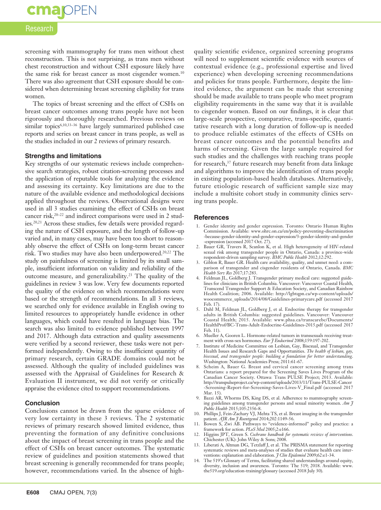### cmapPEN

#### Research

screening with mammography for trans men without chest reconstruction. This is not surprising, as trans men without chest reconstruction and without CSH exposure likely have the same risk for breast cancer as most cisgender women.<sup>10</sup> There was also agreement that CSH exposure should be considered when determining breast screening eligibility for trans women.

The topics of breast screening and the effect of CSHs on breast cancer outcomes among trans people have not been rigorously and thoroughly researched. Previous reviews on similar topics<sup>6,10,33-36</sup> have largely summarized published case reports and series on breast cancer in trans people, as well as the studies included in our 2 reviews of primary research.

#### **Strengths and limitations**

Key strengths of our systematic reviews include comprehensive search strategies, robust citation-screening processes and the application of reputable tools for analyzing the evidence and assessing its certainty. Key limitations are due to the nature of the available evidence and methodological decisions applied throughout the reviews. Observational designs were used in all 3 studies examining the effect of CSHs on breast cancer risk,<sup>20–22</sup> and indirect comparisons were used in 2 studies.20,21 Across these studies, few details were provided regarding the nature of CSH exposure, and the length of follow-up varied and, in many cases, may have been too short to reasonably observe the effect of CSHs on long-term breast cancer risk. Two studies may have also been underpowered.<sup>20,22</sup> The study on painfulness of screening is limited by its small sample, insufficient information on validity and reliability of the outcome measure, and generalizability.23 The quality of the guidelines in review 3 was low. Very few documents reported the quality of the evidence on which recommendations were based or the strength of recommendations. In all 3 reviews, we searched only for evidence available in English owing to limited resources to appropriately handle evidence in other languages, which could have resulted in language bias. The search was also limited to evidence published between 1997 and 2017. Although data extraction and quality assessments were verified by a second reviewer, these tasks were not performed independently. Owing to the insufficient quantity of primary research, certain GRADE domains could not be assessed. Although the quality of included guidelines was assessed with the Appraisal of Guidelines for Research & Evaluation II instrument, we did not verify or critically appraise the evidence cited to support recommendations.

#### **Conclusion**

Conclusions cannot be drawn from the sparse evidence of very low certainty in these 3 reviews. The 2 systematic reviews of primary research showed limited evidence, thus preventing the formation of any definitive conclusions about the impact of breast screening in trans people and the effect of CSHs on breast cancer outcomes. The systematic review of guidelines and position statements showed that breast screening is generally recommended for trans people; however, recommendations varied. In the absence of highquality scientific evidence, organized screening programs will need to supplement scientific evidence with sources of contextual evidence (e.g., professional expertise and lived experience) when developing screening recommendations and policies for trans people. Furthermore, despite the limited evidence, the argument can be made that screening should be made available to trans people who meet program eligibility requirements in the same way that it is available to cisgender women. Based on our findings, it is clear that large-scale prospective, comparative, trans-specific, quantitative research with a long duration of follow-up is needed to produce reliable estimates of the effects of CSHs on breast cancer outcomes and the potential benefits and harms of screening. Given the large sample required for such studies and the challenges with reaching trans people for research,<sup>37</sup> future research may benefit from data linkage and algorithms to improve the identification of trans people in existing population-based health databases. Alternatively, future etiologic research of sufficient sample size may include a multisite cohort study in community clinics serving trans people.

#### **References**

- 1. Gender identity and gender expression. Toronto: Ontario Human Rights Commission. Available: www.ohrc.on.ca/en/policy-preventing-discrimination -because-gender-identity-and-gender-expression/3-gender-identity-and-gender -expression (accessed 2017 Oct. 27).
- 2. Bauer GR, Travers R, Scanlon K, et al. High heterogeneity of HIV-related sexual risk among transgender people in Ontario, Canada: a province-wide respondent-driven sampling survey. *BMC Public Health* 2012;12:292.
- 3. Giblon R, Bauer GR. Health care availability, quality, and unmet need: a comparison of transgender and cisgender residents of Ontario, Canada. *BMC Health Serv Res* 2017;17:283.
- 4. Feldman JL, Goldberg J. Transgender primary medical care: suggested guidelines for clinicians in British Columbia. Vancouver: Vancouver Coastal Health, Transcend Transgender Support & Education Society, and Canadian Rainbow Health Coalition; 2006. Available: http://lgbtqpn.ca/wp-content/uploads/ woocommerce\_uploads/2014/08/Guidelines-primarycare.pdf (accessed 2017 Feb. 17).
- 5. Dahl M, Feldman JL, Goldberg J, et al. Endocrine therapy for transgender adults in British Columbia: suggested guidelines. Vancouver: Vancouver Coastal Health; 2015. Available: www.phsa.ca/transcarebc/Documents/ HealthProf/BC-Trans-Adult-Endocrine-Guidelines-2015.pdf (accessed 2017 Feb. 11).
- 6. Mueller A, Gooren L. Hormone-related tumors in transsexuals receiving treatment with cross-sex hormones. *Eur J Endocrinol* 2008;159:197-202.
- 7. Institute of Medicine Committee on Lesbian, Gay, Bisexual, and Transgender Health Issues and Research Gaps and Opportunities. *The health of lesbian, gay, bisexual, and transgender people: building a foundation for better understanding*. Washington: National Academies Press; 2011:61-67.
- 8. Scheim A, Bauer G. Breast and cervical cancer screening among trans Ontarians: a report prepared for the Screening Saves Lives Program of the Canadian Cancer Society. Ottawa: Trans PULSE Project; 2013. Available: http://transpulseproject.ca/wp-content/uploads/2013/11/Trans-PULSE-Cancer -Screening-Report-for-Screening-Saves-Lives-V\_Final.pdf (accessed 2017 Mar. 15).
- 9. Bazzi AR, Whorms DS, King DS, et al. Adherence to mammography screening guidelines among transgender persons and sexual minority women. *Am J Public Health* 2015;105:2356-8.
- 10. Phillips J, Fein-Zachary VJ, Mehta TS, et al. Breast imaging in the transgender patient. *AJR Am J Roentgenol* 2014;202:1149-56.<br>11. Bowen S, Zwi AB. Pathways to "evidence-informed" policy and practice: a
- framework for action. *PLoS Med* 2005;2:e166.
- 12. Higgins JPT, Green S. *Cochrane handbook for systematic reviews of interventions*. Chichester (UK): John Wiley & Sons; 2008.
- 13. Liberati A, Altman DG, Tetzlaff J, et al. The PRISMA statement for reporting systematic reviews and meta-analyses of studies that evaluate health care interventions: explanation and elaboration. *J Clin Epidemiol* 2009;62:e1-34.
- 14. The 519's Glossary of Terms, facilitating shared understandings around equity, diversity, inclusion and awareness. Toronto: The 519; 2018. Available: www. the519.org/education-training/glossary (accessed 2018 July 30).